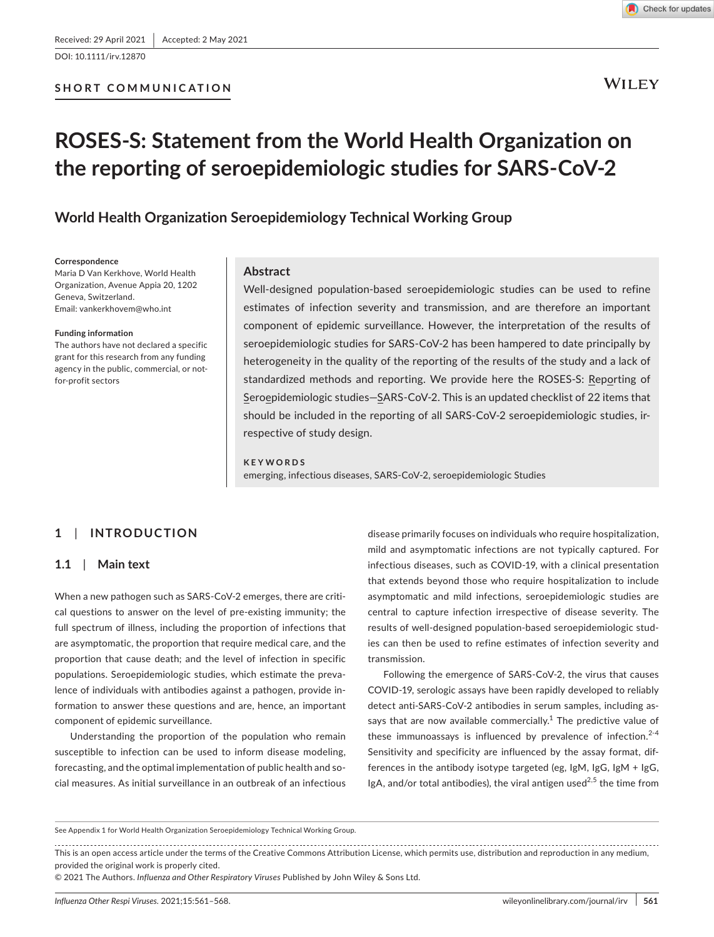DOI: 10.1111/irv.12870



**WILEY** 

# **ROSES-S: Statement from the World Health Organization on the reporting of seroepidemiologic studies for SARS-CoV-2**

**World Health Organization Seroepidemiology Technical Working Group**

#### **Correspondence**

Maria D Van Kerkhove, World Health Organization, Avenue Appia 20, 1202 Geneva, Switzerland. Email: [vankerkhovem@who.int](mailto:vankerkhovem@who.int)

#### **Funding information**

The authors have not declared a specific grant for this research from any funding agency in the public, commercial, or notfor-profit sectors

# **Abstract**

Well-designed population-based seroepidemiologic studies can be used to refine estimates of infection severity and transmission, and are therefore an important component of epidemic surveillance. However, the interpretation of the results of seroepidemiologic studies for SARS-CoV-2 has been hampered to date principally by heterogeneity in the quality of the reporting of the results of the study and a lack of standardized methods and reporting. We provide here the ROSES-S: Reporting of Seroepidemiologic studies—SARS-CoV-2. This is an updated checklist of 22 items that should be included in the reporting of all SARS-CoV-2 seroepidemiologic studies, irrespective of study design.

#### **KEYWORDS**

emerging, infectious diseases, SARS-CoV-2, seroepidemiologic Studies

# **1**  | **INTRODUCTION**

## **1.1**  | **Main text**

When a new pathogen such as SARS-CoV-2 emerges, there are critical questions to answer on the level of pre-existing immunity; the full spectrum of illness, including the proportion of infections that are asymptomatic, the proportion that require medical care, and the proportion that cause death; and the level of infection in specific populations. Seroepidemiologic studies, which estimate the prevalence of individuals with antibodies against a pathogen, provide information to answer these questions and are, hence, an important component of epidemic surveillance.

Understanding the proportion of the population who remain susceptible to infection can be used to inform disease modeling, forecasting, and the optimal implementation of public health and social measures. As initial surveillance in an outbreak of an infectious

disease primarily focuses on individuals who require hospitalization, mild and asymptomatic infections are not typically captured. For infectious diseases, such as COVID-19, with a clinical presentation that extends beyond those who require hospitalization to include asymptomatic and mild infections, seroepidemiologic studies are central to capture infection irrespective of disease severity. The results of well-designed population-based seroepidemiologic studies can then be used to refine estimates of infection severity and transmission.

Following the emergence of SARS-CoV-2, the virus that causes COVID-19, serologic assays have been rapidly developed to reliably detect anti-SARS-CoV-2 antibodies in serum samples, including assays that are now available commercially.<sup>1</sup> The predictive value of these immunoassays is influenced by prevalence of infection. $2-4$ Sensitivity and specificity are influenced by the assay format, differences in the antibody isotype targeted (eg, IgM, IgG, IgM + IgG, IgA, and/or total antibodies), the viral antigen used<sup>2,5</sup> the time from

This is an open access article under the terms of the [Creative Commons Attribution](http://creativecommons.org/licenses/by/4.0/) License, which permits use, distribution and reproduction in any medium, provided the original work is properly cited.

© 2021 The Authors. *Influenza and Other Respiratory Viruses* Published by John Wiley & Sons Ltd.

See Appendix 1 for World Health Organization Seroepidemiology Technical Working Group.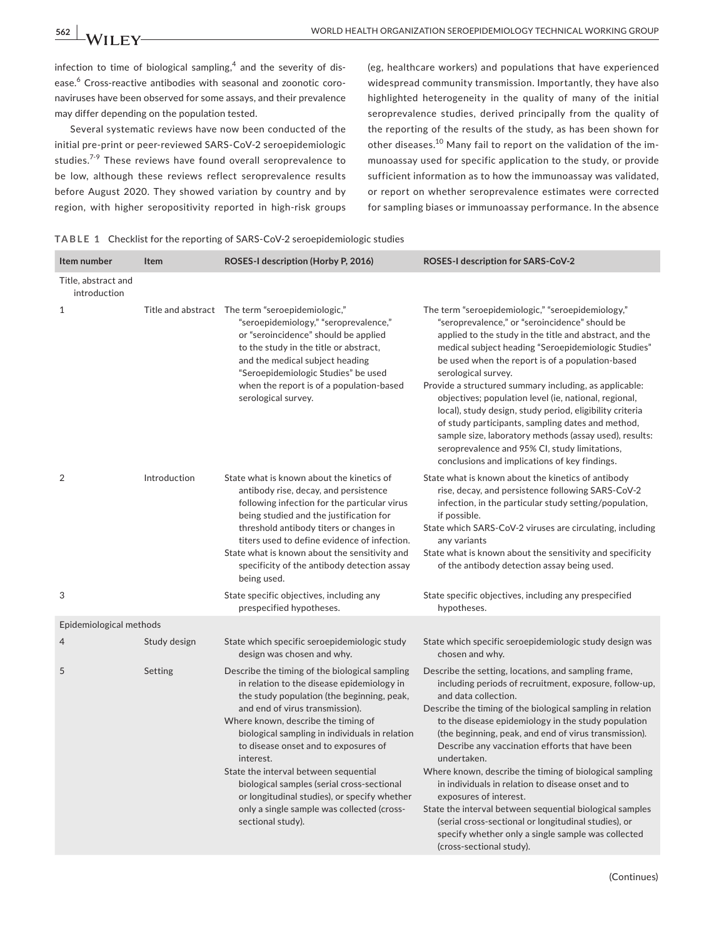infection to time of biological sampling, $^4$  and the severity of disease.<sup>6</sup> Cross-reactive antibodies with seasonal and zoonotic coronaviruses have been observed for some assays, and their prevalence may differ depending on the population tested.

Several systematic reviews have now been conducted of the initial pre-print or peer-reviewed SARS-CoV-2 seroepidemiologic studies.<sup>7-9</sup> These reviews have found overall seroprevalence to be low, although these reviews reflect seroprevalence results before August 2020. They showed variation by country and by region, with higher seropositivity reported in high-risk groups (eg, healthcare workers) and populations that have experienced widespread community transmission. Importantly, they have also highlighted heterogeneity in the quality of many of the initial seroprevalence studies, derived principally from the quality of the reporting of the results of the study, as has been shown for other diseases.10 Many fail to report on the validation of the immunoassay used for specific application to the study, or provide sufficient information as to how the immunoassay was validated, or report on whether seroprevalence estimates were corrected for sampling biases or immunoassay performance. In the absence

|  |  |  |  | TABLE 1 Checklist for the reporting of SARS-CoV-2 seroepidemiologic studies |  |
|--|--|--|--|-----------------------------------------------------------------------------|--|
|--|--|--|--|-----------------------------------------------------------------------------|--|

| Item number                         | Item         | ROSES-I description (Horby P, 2016)                                                                                                                                                                                                                                                                                                                                                                                                                                                                                                   | ROSES-I description for SARS-CoV-2                                                                                                                                                                                                                                                                                                                                                                                                                                                                                                                                                                                                                                                                                                      |
|-------------------------------------|--------------|---------------------------------------------------------------------------------------------------------------------------------------------------------------------------------------------------------------------------------------------------------------------------------------------------------------------------------------------------------------------------------------------------------------------------------------------------------------------------------------------------------------------------------------|-----------------------------------------------------------------------------------------------------------------------------------------------------------------------------------------------------------------------------------------------------------------------------------------------------------------------------------------------------------------------------------------------------------------------------------------------------------------------------------------------------------------------------------------------------------------------------------------------------------------------------------------------------------------------------------------------------------------------------------------|
| Title, abstract and<br>introduction |              |                                                                                                                                                                                                                                                                                                                                                                                                                                                                                                                                       |                                                                                                                                                                                                                                                                                                                                                                                                                                                                                                                                                                                                                                                                                                                                         |
| $\mathbf 1$                         |              | Title and abstract The term "seroepidemiologic,"<br>"seroepidemiology," "seroprevalence,"<br>or "seroincidence" should be applied<br>to the study in the title or abstract,<br>and the medical subject heading<br>"Seroepidemiologic Studies" be used<br>when the report is of a population-based<br>serological survey.                                                                                                                                                                                                              | The term "seroepidemiologic," "seroepidemiology,"<br>"seroprevalence," or "seroincidence" should be<br>applied to the study in the title and abstract, and the<br>medical subject heading "Seroepidemiologic Studies"<br>be used when the report is of a population-based<br>serological survey.<br>Provide a structured summary including, as applicable:<br>objectives; population level (ie, national, regional,<br>local), study design, study period, eligibility criteria<br>of study participants, sampling dates and method,<br>sample size, laboratory methods (assay used), results:<br>seroprevalence and 95% CI, study limitations,<br>conclusions and implications of key findings.                                        |
| $\overline{2}$                      | Introduction | State what is known about the kinetics of<br>antibody rise, decay, and persistence<br>following infection for the particular virus<br>being studied and the justification for<br>threshold antibody titers or changes in<br>titers used to define evidence of infection.<br>State what is known about the sensitivity and<br>specificity of the antibody detection assay<br>being used.                                                                                                                                               | State what is known about the kinetics of antibody<br>rise, decay, and persistence following SARS-CoV-2<br>infection, in the particular study setting/population,<br>if possible.<br>State which SARS-CoV-2 viruses are circulating, including<br>any variants<br>State what is known about the sensitivity and specificity<br>of the antibody detection assay being used.                                                                                                                                                                                                                                                                                                                                                              |
| 3                                   |              | State specific objectives, including any<br>prespecified hypotheses.                                                                                                                                                                                                                                                                                                                                                                                                                                                                  | State specific objectives, including any prespecified<br>hypotheses.                                                                                                                                                                                                                                                                                                                                                                                                                                                                                                                                                                                                                                                                    |
| Epidemiological methods             |              |                                                                                                                                                                                                                                                                                                                                                                                                                                                                                                                                       |                                                                                                                                                                                                                                                                                                                                                                                                                                                                                                                                                                                                                                                                                                                                         |
| 4                                   | Study design | State which specific seroepidemiologic study<br>design was chosen and why.                                                                                                                                                                                                                                                                                                                                                                                                                                                            | State which specific seroepidemiologic study design was<br>chosen and why.                                                                                                                                                                                                                                                                                                                                                                                                                                                                                                                                                                                                                                                              |
| 5                                   | Setting      | Describe the timing of the biological sampling<br>in relation to the disease epidemiology in<br>the study population (the beginning, peak,<br>and end of virus transmission).<br>Where known, describe the timing of<br>biological sampling in individuals in relation<br>to disease onset and to exposures of<br>interest.<br>State the interval between sequential<br>biological samples (serial cross-sectional<br>or longitudinal studies), or specify whether<br>only a single sample was collected (cross-<br>sectional study). | Describe the setting, locations, and sampling frame,<br>including periods of recruitment, exposure, follow-up,<br>and data collection.<br>Describe the timing of the biological sampling in relation<br>to the disease epidemiology in the study population<br>(the beginning, peak, and end of virus transmission).<br>Describe any vaccination efforts that have been<br>undertaken.<br>Where known, describe the timing of biological sampling<br>in individuals in relation to disease onset and to<br>exposures of interest.<br>State the interval between sequential biological samples<br>(serial cross-sectional or longitudinal studies), or<br>specify whether only a single sample was collected<br>(cross-sectional study). |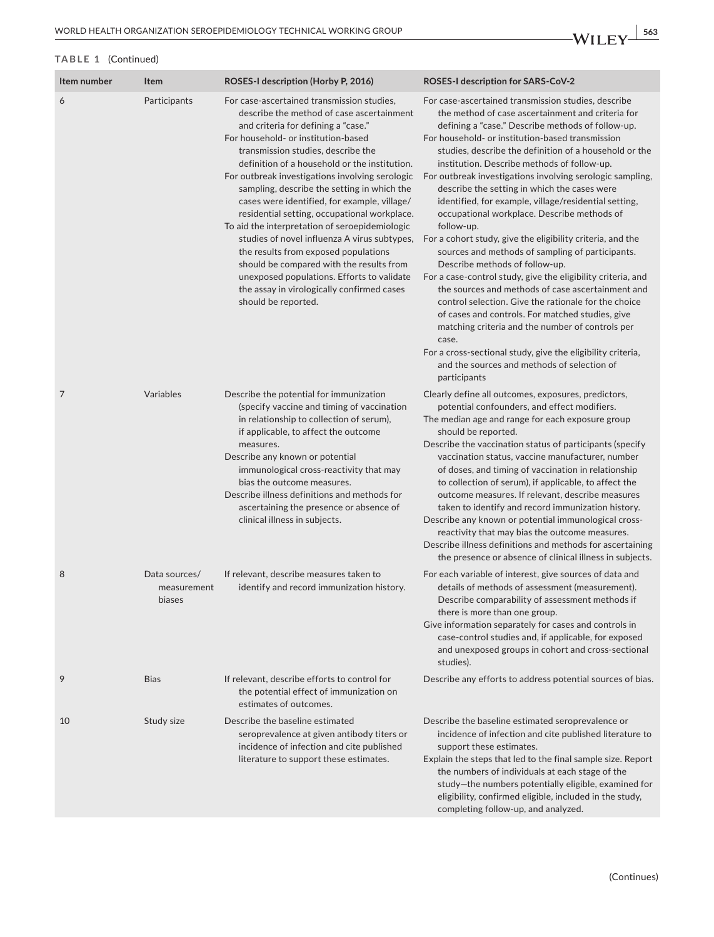| Item number | Item                                   | ROSES-I description (Horby P, 2016)                                                                                                                                                                                                                                                                                                                                                                                                                                                                                                                                                                                                                                                                                                                                     | ROSES-I description for SARS-CoV-2                                                                                                                                                                                                                                                                                                                                                                                                                                                                                                                                                                                                                                                                                                                                                                                                                                                                                                                                                                                                                                                                                                            |
|-------------|----------------------------------------|-------------------------------------------------------------------------------------------------------------------------------------------------------------------------------------------------------------------------------------------------------------------------------------------------------------------------------------------------------------------------------------------------------------------------------------------------------------------------------------------------------------------------------------------------------------------------------------------------------------------------------------------------------------------------------------------------------------------------------------------------------------------------|-----------------------------------------------------------------------------------------------------------------------------------------------------------------------------------------------------------------------------------------------------------------------------------------------------------------------------------------------------------------------------------------------------------------------------------------------------------------------------------------------------------------------------------------------------------------------------------------------------------------------------------------------------------------------------------------------------------------------------------------------------------------------------------------------------------------------------------------------------------------------------------------------------------------------------------------------------------------------------------------------------------------------------------------------------------------------------------------------------------------------------------------------|
| 6           | Participants                           | For case-ascertained transmission studies,<br>describe the method of case ascertainment<br>and criteria for defining a "case."<br>For household- or institution-based<br>transmission studies, describe the<br>definition of a household or the institution.<br>For outbreak investigations involving serologic<br>sampling, describe the setting in which the<br>cases were identified, for example, village/<br>residential setting, occupational workplace.<br>To aid the interpretation of seroepidemiologic<br>studies of novel influenza A virus subtypes,<br>the results from exposed populations<br>should be compared with the results from<br>unexposed populations. Efforts to validate<br>the assay in virologically confirmed cases<br>should be reported. | For case-ascertained transmission studies, describe<br>the method of case ascertainment and criteria for<br>defining a "case." Describe methods of follow-up.<br>For household- or institution-based transmission<br>studies, describe the definition of a household or the<br>institution. Describe methods of follow-up.<br>For outbreak investigations involving serologic sampling,<br>describe the setting in which the cases were<br>identified, for example, village/residential setting,<br>occupational workplace. Describe methods of<br>follow-up.<br>For a cohort study, give the eligibility criteria, and the<br>sources and methods of sampling of participants.<br>Describe methods of follow-up.<br>For a case-control study, give the eligibility criteria, and<br>the sources and methods of case ascertainment and<br>control selection. Give the rationale for the choice<br>of cases and controls. For matched studies, give<br>matching criteria and the number of controls per<br>case.<br>For a cross-sectional study, give the eligibility criteria,<br>and the sources and methods of selection of<br>participants |
| 7           | Variables                              | Describe the potential for immunization<br>(specify vaccine and timing of vaccination<br>in relationship to collection of serum),<br>if applicable, to affect the outcome<br>measures.<br>Describe any known or potential<br>immunological cross-reactivity that may<br>bias the outcome measures.<br>Describe illness definitions and methods for<br>ascertaining the presence or absence of<br>clinical illness in subjects.                                                                                                                                                                                                                                                                                                                                          | Clearly define all outcomes, exposures, predictors,<br>potential confounders, and effect modifiers.<br>The median age and range for each exposure group<br>should be reported.<br>Describe the vaccination status of participants (specify<br>vaccination status, vaccine manufacturer, number<br>of doses, and timing of vaccination in relationship<br>to collection of serum), if applicable, to affect the<br>outcome measures. If relevant, describe measures<br>taken to identify and record immunization history.<br>Describe any known or potential immunological cross-<br>reactivity that may bias the outcome measures.<br>Describe illness definitions and methods for ascertaining<br>the presence or absence of clinical illness in subjects.                                                                                                                                                                                                                                                                                                                                                                                   |
| 8           | Data sources/<br>measurement<br>biases | If relevant, describe measures taken to<br>identify and record immunization history.                                                                                                                                                                                                                                                                                                                                                                                                                                                                                                                                                                                                                                                                                    | For each variable of interest, give sources of data and<br>details of methods of assessment (measurement).<br>Describe comparability of assessment methods if<br>there is more than one group.<br>Give information separately for cases and controls in<br>case-control studies and, if applicable, for exposed<br>and unexposed groups in cohort and cross-sectional<br>studies).                                                                                                                                                                                                                                                                                                                                                                                                                                                                                                                                                                                                                                                                                                                                                            |
| 9           | <b>Bias</b>                            | If relevant, describe efforts to control for<br>the potential effect of immunization on<br>estimates of outcomes.                                                                                                                                                                                                                                                                                                                                                                                                                                                                                                                                                                                                                                                       | Describe any efforts to address potential sources of bias.                                                                                                                                                                                                                                                                                                                                                                                                                                                                                                                                                                                                                                                                                                                                                                                                                                                                                                                                                                                                                                                                                    |
| 10          | Study size                             | Describe the baseline estimated<br>seroprevalence at given antibody titers or<br>incidence of infection and cite published<br>literature to support these estimates.                                                                                                                                                                                                                                                                                                                                                                                                                                                                                                                                                                                                    | Describe the baseline estimated seroprevalence or<br>incidence of infection and cite published literature to<br>support these estimates.<br>Explain the steps that led to the final sample size. Report<br>the numbers of individuals at each stage of the<br>study-the numbers potentially eligible, examined for<br>eligibility, confirmed eligible, included in the study,<br>completing follow-up, and analyzed.                                                                                                                                                                                                                                                                                                                                                                                                                                                                                                                                                                                                                                                                                                                          |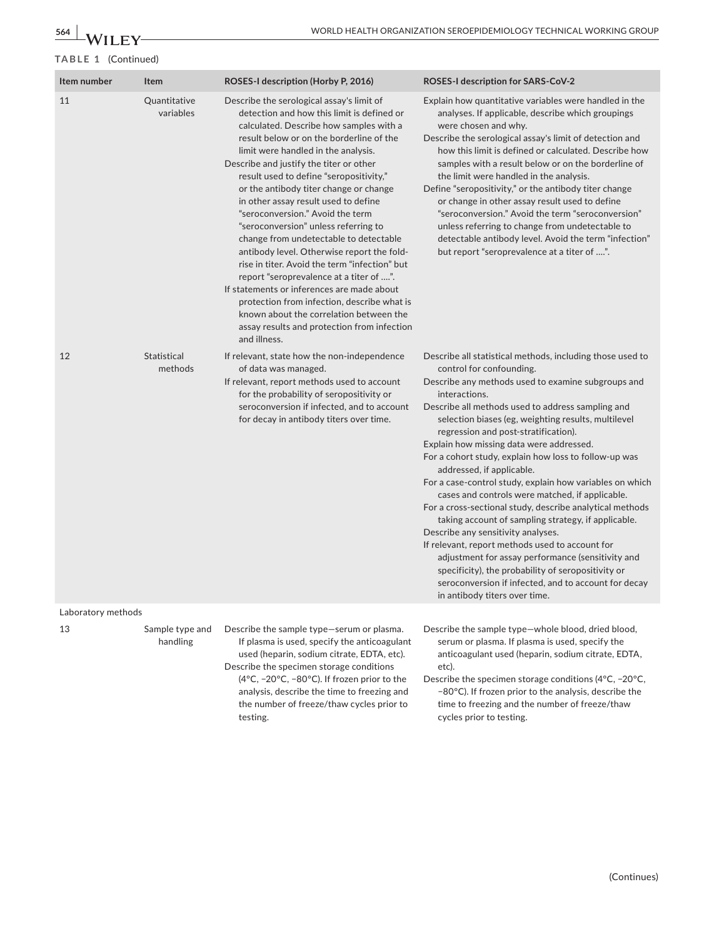| Item number        | Item                          | ROSES-I description (Horby P, 2016)                                                                                                                                                                                                                                                                                                                                                                                                                                                                                                                                                                                                                                                                                                                                                                                                                                  | ROSES-I description for SARS-CoV-2                                                                                                                                                                                                                                                                                                                                                                                                                                                                                                                                                                                                                                                                                                                                                                                                                                                                                                                                                |  |
|--------------------|-------------------------------|----------------------------------------------------------------------------------------------------------------------------------------------------------------------------------------------------------------------------------------------------------------------------------------------------------------------------------------------------------------------------------------------------------------------------------------------------------------------------------------------------------------------------------------------------------------------------------------------------------------------------------------------------------------------------------------------------------------------------------------------------------------------------------------------------------------------------------------------------------------------|-----------------------------------------------------------------------------------------------------------------------------------------------------------------------------------------------------------------------------------------------------------------------------------------------------------------------------------------------------------------------------------------------------------------------------------------------------------------------------------------------------------------------------------------------------------------------------------------------------------------------------------------------------------------------------------------------------------------------------------------------------------------------------------------------------------------------------------------------------------------------------------------------------------------------------------------------------------------------------------|--|
| 11                 | Quantitative<br>variables     | Describe the serological assay's limit of<br>detection and how this limit is defined or<br>calculated. Describe how samples with a<br>result below or on the borderline of the<br>limit were handled in the analysis.<br>Describe and justify the titer or other<br>result used to define "seropositivity,"<br>or the antibody titer change or change<br>in other assay result used to define<br>"seroconversion." Avoid the term<br>"seroconversion" unless referring to<br>change from undetectable to detectable<br>antibody level. Otherwise report the fold-<br>rise in titer. Avoid the term "infection" but<br>report "seroprevalence at a titer of ".<br>If statements or inferences are made about<br>protection from infection, describe what is<br>known about the correlation between the<br>assay results and protection from infection<br>and illness. | Explain how quantitative variables were handled in the<br>analyses. If applicable, describe which groupings<br>were chosen and why.<br>Describe the serological assay's limit of detection and<br>how this limit is defined or calculated. Describe how<br>samples with a result below or on the borderline of<br>the limit were handled in the analysis.<br>Define "seropositivity," or the antibody titer change<br>or change in other assay result used to define<br>"seroconversion." Avoid the term "seroconversion"<br>unless referring to change from undetectable to<br>detectable antibody level. Avoid the term "infection"<br>but report "seroprevalence at a titer of ".                                                                                                                                                                                                                                                                                              |  |
| 12                 | <b>Statistical</b><br>methods | If relevant, state how the non-independence<br>of data was managed.<br>If relevant, report methods used to account<br>for the probability of seropositivity or<br>seroconversion if infected, and to account<br>for decay in antibody titers over time.                                                                                                                                                                                                                                                                                                                                                                                                                                                                                                                                                                                                              | Describe all statistical methods, including those used to<br>control for confounding.<br>Describe any methods used to examine subgroups and<br>interactions.<br>Describe all methods used to address sampling and<br>selection biases (eg, weighting results, multilevel<br>regression and post-stratification).<br>Explain how missing data were addressed.<br>For a cohort study, explain how loss to follow-up was<br>addressed, if applicable.<br>For a case-control study, explain how variables on which<br>cases and controls were matched, if applicable.<br>For a cross-sectional study, describe analytical methods<br>taking account of sampling strategy, if applicable.<br>Describe any sensitivity analyses.<br>If relevant, report methods used to account for<br>adjustment for assay performance (sensitivity and<br>specificity), the probability of seropositivity or<br>seroconversion if infected, and to account for decay<br>in antibody titers over time. |  |
| Laboratory methods |                               |                                                                                                                                                                                                                                                                                                                                                                                                                                                                                                                                                                                                                                                                                                                                                                                                                                                                      |                                                                                                                                                                                                                                                                                                                                                                                                                                                                                                                                                                                                                                                                                                                                                                                                                                                                                                                                                                                   |  |
| 13                 | Sample type and<br>handling   | Describe the sample type-serum or plasma.<br>If plasma is used, specify the anticoagulant<br>used (heparin, sodium citrate, EDTA, etc).<br>Describe the specimen storage conditions<br>(4°C, -20°C, -80°C). If frozen prior to the<br>analysis, describe the time to freezing and                                                                                                                                                                                                                                                                                                                                                                                                                                                                                                                                                                                    | Describe the sample type-whole blood, dried blood,<br>serum or plasma. If plasma is used, specify the<br>anticoagulant used (heparin, sodium citrate, EDTA,<br>etc).<br>Describe the specimen storage conditions (4 $\degree$ C, -20 $\degree$ C,<br>-80°C). If frozen prior to the analysis, describe the                                                                                                                                                                                                                                                                                                                                                                                                                                                                                                                                                                                                                                                                        |  |

the number of freeze/thaw cycles prior to

testing.

−80°C). If frozen prior to the analysis, describe the time to freezing and the number of freeze/thaw cycles prior to testing.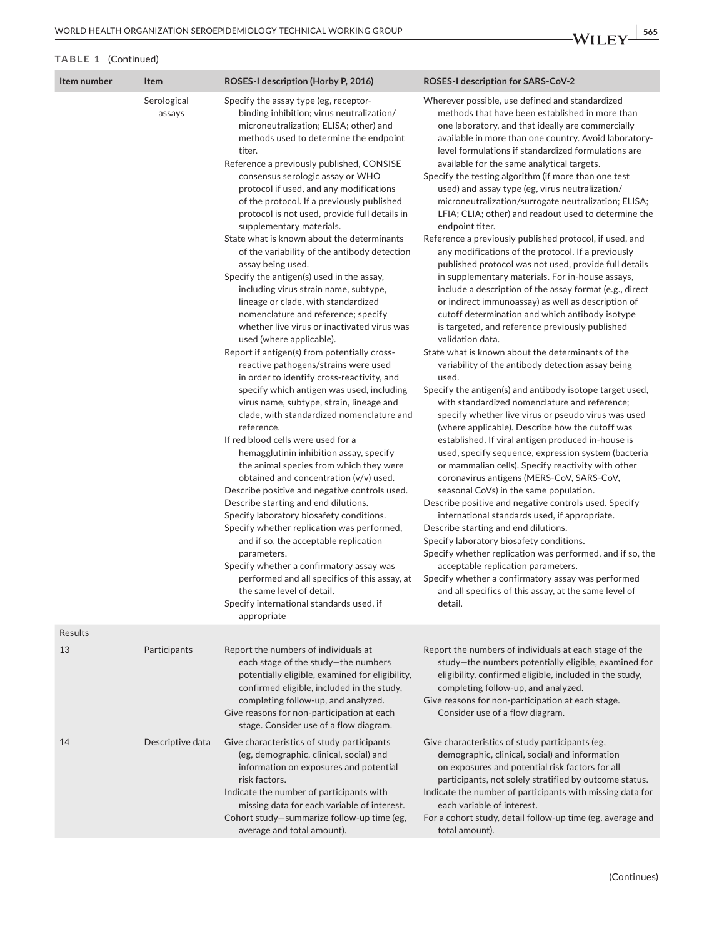| Item number | Item                  | ROSES-I description (Horby P, 2016)                                                                                                                                                                                                                                                                                                                                                                                                                                                                                                                                                                                                                                                                                                                                                                                                                                                                                                                                                                                                                                                                                                                                                                                                                                                                                                                                                                                                                                                                                                                                                                                                                                                                       | ROSES-I description for SARS-CoV-2                                                                                                                                                                                                                                                                                                                                                                                                                                                                                                                                                                                                                                                                                                                                                                                                                                                                                                                                                                                                                                                                                                                                                                                                                                                                                                                                                                                                                                                                                                                                                                                                                                                                                                                                                                                                                                                                                                                                                                                                                                          |
|-------------|-----------------------|-----------------------------------------------------------------------------------------------------------------------------------------------------------------------------------------------------------------------------------------------------------------------------------------------------------------------------------------------------------------------------------------------------------------------------------------------------------------------------------------------------------------------------------------------------------------------------------------------------------------------------------------------------------------------------------------------------------------------------------------------------------------------------------------------------------------------------------------------------------------------------------------------------------------------------------------------------------------------------------------------------------------------------------------------------------------------------------------------------------------------------------------------------------------------------------------------------------------------------------------------------------------------------------------------------------------------------------------------------------------------------------------------------------------------------------------------------------------------------------------------------------------------------------------------------------------------------------------------------------------------------------------------------------------------------------------------------------|-----------------------------------------------------------------------------------------------------------------------------------------------------------------------------------------------------------------------------------------------------------------------------------------------------------------------------------------------------------------------------------------------------------------------------------------------------------------------------------------------------------------------------------------------------------------------------------------------------------------------------------------------------------------------------------------------------------------------------------------------------------------------------------------------------------------------------------------------------------------------------------------------------------------------------------------------------------------------------------------------------------------------------------------------------------------------------------------------------------------------------------------------------------------------------------------------------------------------------------------------------------------------------------------------------------------------------------------------------------------------------------------------------------------------------------------------------------------------------------------------------------------------------------------------------------------------------------------------------------------------------------------------------------------------------------------------------------------------------------------------------------------------------------------------------------------------------------------------------------------------------------------------------------------------------------------------------------------------------------------------------------------------------------------------------------------------------|
|             | Serological<br>assays | Specify the assay type (eg, receptor-<br>binding inhibition; virus neutralization/<br>microneutralization; ELISA; other) and<br>methods used to determine the endpoint<br>titer.<br>Reference a previously published, CONSISE<br>consensus serologic assay or WHO<br>protocol if used, and any modifications<br>of the protocol. If a previously published<br>protocol is not used, provide full details in<br>supplementary materials.<br>State what is known about the determinants<br>of the variability of the antibody detection<br>assay being used.<br>Specify the antigen(s) used in the assay,<br>including virus strain name, subtype,<br>lineage or clade, with standardized<br>nomenclature and reference; specify<br>whether live virus or inactivated virus was<br>used (where applicable).<br>Report if antigen(s) from potentially cross-<br>reactive pathogens/strains were used<br>in order to identify cross-reactivity, and<br>specify which antigen was used, including<br>virus name, subtype, strain, lineage and<br>clade, with standardized nomenclature and<br>reference.<br>If red blood cells were used for a<br>hemagglutinin inhibition assay, specify<br>the animal species from which they were<br>obtained and concentration (v/v) used.<br>Describe positive and negative controls used.<br>Describe starting and end dilutions.<br>Specify laboratory biosafety conditions.<br>Specify whether replication was performed,<br>and if so, the acceptable replication<br>parameters.<br>Specify whether a confirmatory assay was<br>performed and all specifics of this assay, at<br>the same level of detail.<br>Specify international standards used, if<br>appropriate | Wherever possible, use defined and standardized<br>methods that have been established in more than<br>one laboratory, and that ideally are commercially<br>available in more than one country. Avoid laboratory-<br>level formulations if standardized formulations are<br>available for the same analytical targets.<br>Specify the testing algorithm (if more than one test<br>used) and assay type (eg, virus neutralization/<br>microneutralization/surrogate neutralization; ELISA;<br>LFIA; CLIA; other) and readout used to determine the<br>endpoint titer.<br>Reference a previously published protocol, if used, and<br>any modifications of the protocol. If a previously<br>published protocol was not used, provide full details<br>in supplementary materials. For in-house assays,<br>include a description of the assay format (e.g., direct<br>or indirect immunoassay) as well as description of<br>cutoff determination and which antibody isotype<br>is targeted, and reference previously published<br>validation data.<br>State what is known about the determinants of the<br>variability of the antibody detection assay being<br>used.<br>Specify the antigen(s) and antibody isotope target used,<br>with standardized nomenclature and reference;<br>specify whether live virus or pseudo virus was used<br>(where applicable). Describe how the cutoff was<br>established. If viral antigen produced in-house is<br>used, specify sequence, expression system (bacteria<br>or mammalian cells). Specify reactivity with other<br>coronavirus antigens (MERS-CoV, SARS-CoV,<br>seasonal CoVs) in the same population.<br>Describe positive and negative controls used. Specify<br>international standards used, if appropriate.<br>Describe starting and end dilutions.<br>Specify laboratory biosafety conditions.<br>Specify whether replication was performed, and if so, the<br>acceptable replication parameters.<br>Specify whether a confirmatory assay was performed<br>and all specifics of this assay, at the same level of<br>detail. |
| Results     |                       |                                                                                                                                                                                                                                                                                                                                                                                                                                                                                                                                                                                                                                                                                                                                                                                                                                                                                                                                                                                                                                                                                                                                                                                                                                                                                                                                                                                                                                                                                                                                                                                                                                                                                                           |                                                                                                                                                                                                                                                                                                                                                                                                                                                                                                                                                                                                                                                                                                                                                                                                                                                                                                                                                                                                                                                                                                                                                                                                                                                                                                                                                                                                                                                                                                                                                                                                                                                                                                                                                                                                                                                                                                                                                                                                                                                                             |
| 13          | Participants          | Report the numbers of individuals at<br>each stage of the study-the numbers<br>potentially eligible, examined for eligibility,<br>confirmed eligible, included in the study,<br>completing follow-up, and analyzed.<br>Give reasons for non-participation at each<br>stage. Consider use of a flow diagram.                                                                                                                                                                                                                                                                                                                                                                                                                                                                                                                                                                                                                                                                                                                                                                                                                                                                                                                                                                                                                                                                                                                                                                                                                                                                                                                                                                                               | Report the numbers of individuals at each stage of the<br>study-the numbers potentially eligible, examined for<br>eligibility, confirmed eligible, included in the study,<br>completing follow-up, and analyzed.<br>Give reasons for non-participation at each stage.<br>Consider use of a flow diagram.                                                                                                                                                                                                                                                                                                                                                                                                                                                                                                                                                                                                                                                                                                                                                                                                                                                                                                                                                                                                                                                                                                                                                                                                                                                                                                                                                                                                                                                                                                                                                                                                                                                                                                                                                                    |
| 14          | Descriptive data      | Give characteristics of study participants<br>(eg, demographic, clinical, social) and<br>information on exposures and potential<br>risk factors.<br>Indicate the number of participants with<br>missing data for each variable of interest.<br>Cohort study-summarize follow-up time (eg,<br>average and total amount).                                                                                                                                                                                                                                                                                                                                                                                                                                                                                                                                                                                                                                                                                                                                                                                                                                                                                                                                                                                                                                                                                                                                                                                                                                                                                                                                                                                   | Give characteristics of study participants (eg,<br>demographic, clinical, social) and information<br>on exposures and potential risk factors for all<br>participants, not solely stratified by outcome status.<br>Indicate the number of participants with missing data for<br>each variable of interest.<br>For a cohort study, detail follow-up time (eg, average and<br>total amount).                                                                                                                                                                                                                                                                                                                                                                                                                                                                                                                                                                                                                                                                                                                                                                                                                                                                                                                                                                                                                                                                                                                                                                                                                                                                                                                                                                                                                                                                                                                                                                                                                                                                                   |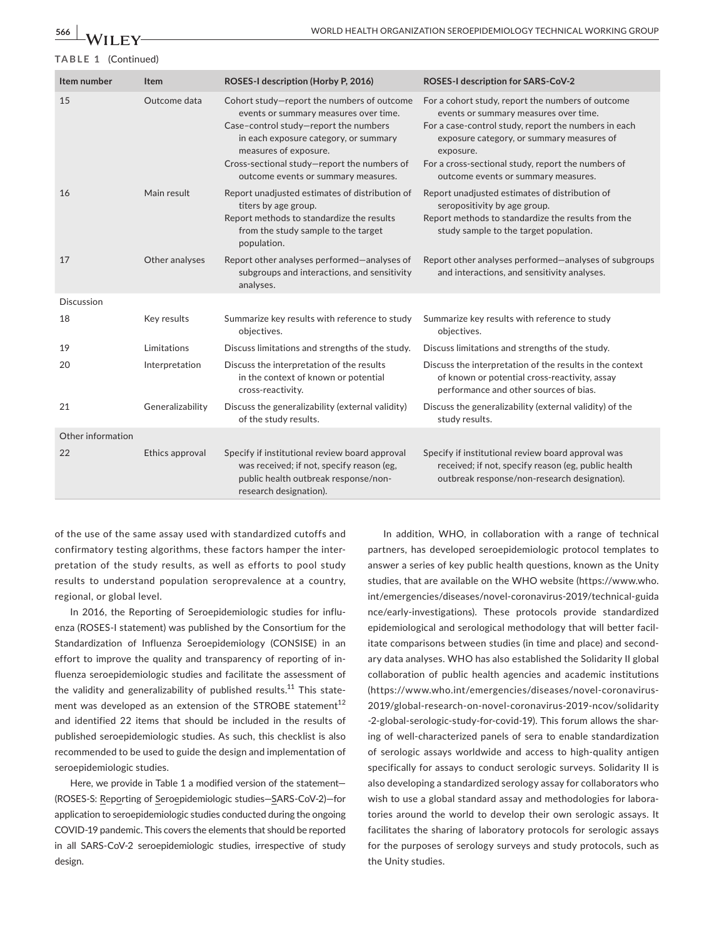| Item number       | Item             | ROSES-I description (Horby P, 2016)                                                                                                                                                                                                                                                  | ROSES-I description for SARS-CoV-2                                                                                                                                                                                                                                                                        |
|-------------------|------------------|--------------------------------------------------------------------------------------------------------------------------------------------------------------------------------------------------------------------------------------------------------------------------------------|-----------------------------------------------------------------------------------------------------------------------------------------------------------------------------------------------------------------------------------------------------------------------------------------------------------|
| 15                | Outcome data     | Cohort study-report the numbers of outcome<br>events or summary measures over time.<br>Case-control study-report the numbers<br>in each exposure category, or summary<br>measures of exposure.<br>Cross-sectional study-report the numbers of<br>outcome events or summary measures. | For a cohort study, report the numbers of outcome<br>events or summary measures over time.<br>For a case-control study, report the numbers in each<br>exposure category, or summary measures of<br>exposure.<br>For a cross-sectional study, report the numbers of<br>outcome events or summary measures. |
| 16                | Main result      | Report unadjusted estimates of distribution of<br>titers by age group.<br>Report methods to standardize the results<br>from the study sample to the target<br>population.                                                                                                            | Report unadjusted estimates of distribution of<br>seropositivity by age group.<br>Report methods to standardize the results from the<br>study sample to the target population.                                                                                                                            |
| 17                | Other analyses   | Report other analyses performed-analyses of<br>subgroups and interactions, and sensitivity<br>analyses.                                                                                                                                                                              | Report other analyses performed-analyses of subgroups<br>and interactions, and sensitivity analyses.                                                                                                                                                                                                      |
| Discussion        |                  |                                                                                                                                                                                                                                                                                      |                                                                                                                                                                                                                                                                                                           |
| 18                | Key results      | Summarize key results with reference to study<br>objectives.                                                                                                                                                                                                                         | Summarize key results with reference to study<br>objectives.                                                                                                                                                                                                                                              |
| 19                | Limitations      | Discuss limitations and strengths of the study.                                                                                                                                                                                                                                      | Discuss limitations and strengths of the study.                                                                                                                                                                                                                                                           |
| 20                | Interpretation   | Discuss the interpretation of the results<br>in the context of known or potential<br>cross-reactivity.                                                                                                                                                                               | Discuss the interpretation of the results in the context<br>of known or potential cross-reactivity, assay<br>performance and other sources of bias.                                                                                                                                                       |
| 21                | Generalizability | Discuss the generalizability (external validity)<br>of the study results.                                                                                                                                                                                                            | Discuss the generalizability (external validity) of the<br>study results.                                                                                                                                                                                                                                 |
| Other information |                  |                                                                                                                                                                                                                                                                                      |                                                                                                                                                                                                                                                                                                           |
| 22                | Ethics approval  | Specify if institutional review board approval<br>was received; if not, specify reason (eg,<br>public health outbreak response/non-<br>research designation).                                                                                                                        | Specify if institutional review board approval was<br>received; if not, specify reason (eg, public health<br>outbreak response/non-research designation).                                                                                                                                                 |

of the use of the same assay used with standardized cutoffs and confirmatory testing algorithms, these factors hamper the interpretation of the study results, as well as efforts to pool study results to understand population seroprevalence at a country, regional, or global level.

In 2016, the Reporting of Seroepidemiologic studies for influenza (ROSES-I statement) was published by the Consortium for the Standardization of Influenza Seroepidemiology (CONSISE) in an effort to improve the quality and transparency of reporting of influenza seroepidemiologic studies and facilitate the assessment of the validity and generalizability of published results.<sup>11</sup> This statement was developed as an extension of the STROBE statement<sup>12</sup> and identified 22 items that should be included in the results of published seroepidemiologic studies. As such, this checklist is also recommended to be used to guide the design and implementation of seroepidemiologic studies.

Here, we provide in Table 1 a modified version of the statement— (ROSES-S: Reporting of Seroepidemiologic studies—SARS-CoV-2)—for application to seroepidemiologic studies conducted during the ongoing COVID-19 pandemic. This covers the elements that should be reported in all SARS-CoV-2 seroepidemiologic studies, irrespective of study design.

In addition, WHO, in collaboration with a range of technical partners, has developed seroepidemiologic protocol templates to answer a series of key public health questions, known as the Unity studies, that are available on the WHO website [\(https://www.who.](https://www.who.int/emergencies/diseases/novel-coronavirus-2019/technical-guidance/early-investigations) [int/emergencies/diseases/novel-coronavirus-2019/technical-guida](https://www.who.int/emergencies/diseases/novel-coronavirus-2019/technical-guidance/early-investigations) [nce/early-investigations\)](https://www.who.int/emergencies/diseases/novel-coronavirus-2019/technical-guidance/early-investigations). These protocols provide standardized epidemiological and serological methodology that will better facilitate comparisons between studies (in time and place) and secondary data analyses. WHO has also established the Solidarity II global collaboration of public health agencies and academic institutions ([https://www.who.int/emergencies/diseases/novel-coronavirus-](https://www.who.int/emergencies/diseases/novel-coronavirus-2019/global-research-on-novel-coronavirus-2019-ncov/solidarity-2-global-serologic-study-for-covid-19)[2019/global-research-on-novel-coronavirus-2019-ncov/solidarity](https://www.who.int/emergencies/diseases/novel-coronavirus-2019/global-research-on-novel-coronavirus-2019-ncov/solidarity-2-global-serologic-study-for-covid-19) [-2-global-serologic-study-for-covid-19](https://www.who.int/emergencies/diseases/novel-coronavirus-2019/global-research-on-novel-coronavirus-2019-ncov/solidarity-2-global-serologic-study-for-covid-19)). This forum allows the sharing of well-characterized panels of sera to enable standardization of serologic assays worldwide and access to high-quality antigen specifically for assays to conduct serologic surveys. Solidarity II is also developing a standardized serology assay for collaborators who wish to use a global standard assay and methodologies for laboratories around the world to develop their own serologic assays. It facilitates the sharing of laboratory protocols for serologic assays for the purposes of serology surveys and study protocols, such as the Unity studies.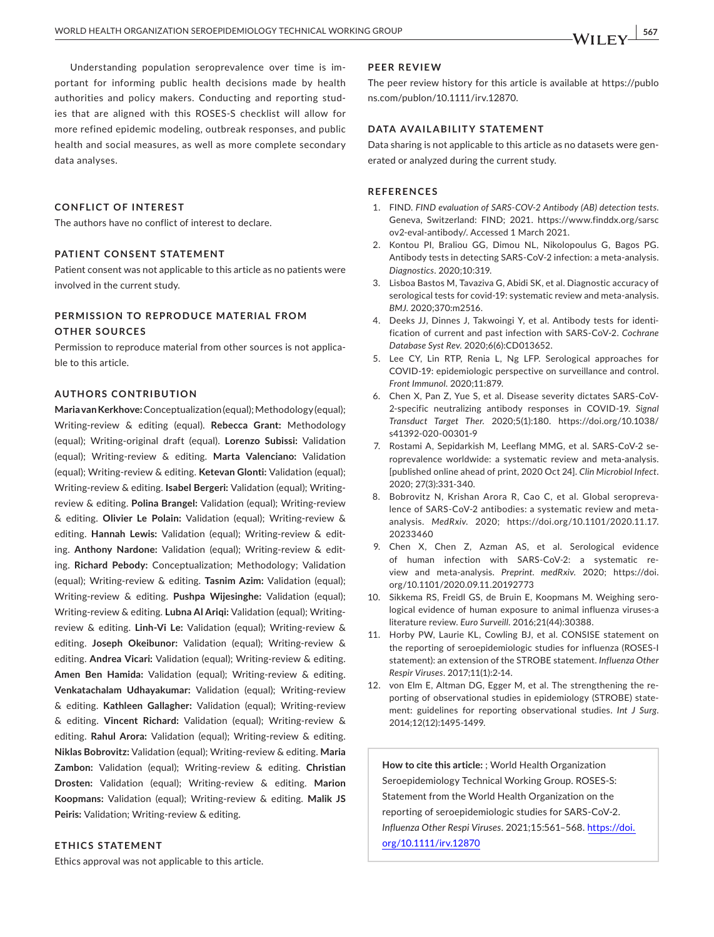Understanding population seroprevalence over time is important for informing public health decisions made by health authorities and policy makers. Conducting and reporting studies that are aligned with this ROSES-S checklist will allow for more refined epidemic modeling, outbreak responses, and public health and social measures, as well as more complete secondary data analyses.

## **CONFLICT OF INTEREST**

The authors have no conflict of interest to declare.

#### **PATIENT CONSENT STATEMENT**

Patient consent was not applicable to this article as no patients were involved in the current study.

# **PERMISSION TO REPRODUCE MATERIAL FROM OTHER SOURCES**

Permission to reproduce material from other sources is not applicable to this article.

#### **AUTHORS CONTRIBUTION**

**Maria van Kerkhove:** Conceptualization (equal); Methodology (equal); Writing-review & editing (equal). **Rebecca Grant:** Methodology (equal); Writing-original draft (equal). **Lorenzo Subissi:** Validation (equal); Writing-review & editing. **Marta Valenciano:** Validation (equal); Writing-review & editing. **Ketevan Glonti:** Validation (equal); Writing-review & editing. **Isabel Bergeri:** Validation (equal); Writingreview & editing. **Polina Brangel:** Validation (equal); Writing-review & editing. **Olivier Le Polain:** Validation (equal); Writing-review & editing. **Hannah Lewis:** Validation (equal); Writing-review & editing. **Anthony Nardone:** Validation (equal); Writing-review & editing. **Richard Pebody:** Conceptualization; Methodology; Validation (equal); Writing-review & editing. **Tasnim Azim:** Validation (equal); Writing-review & editing. **Pushpa Wijesinghe:** Validation (equal); Writing-review & editing. **Lubna Al Ariqi:** Validation (equal); Writingreview & editing. **Linh-Vi Le:** Validation (equal); Writing-review & editing. **Joseph Okeibunor:** Validation (equal); Writing-review & editing. **Andrea Vicari:** Validation (equal); Writing-review & editing. **Amen Ben Hamida:** Validation (equal); Writing-review & editing. **Venkatachalam Udhayakumar:** Validation (equal); Writing-review & editing. **Kathleen Gallagher:** Validation (equal); Writing-review & editing. **Vincent Richard:** Validation (equal); Writing-review & editing. **Rahul Arora:** Validation (equal); Writing-review & editing. **Niklas Bobrovitz:** Validation (equal); Writing-review & editing. **Maria Zambon:** Validation (equal); Writing-review & editing. **Christian Drosten:** Validation (equal); Writing-review & editing. **Marion Koopmans:** Validation (equal); Writing-review & editing. **Malik JS Peiris:** Validation; Writing-review & editing.

#### **ETHICS STATEMENT**

Ethics approval was not applicable to this article.

#### **PEER REVIEW**

The peer review history for this article is available at [https://publo](https://publons.com/publon/10.1111/irv.12870) [ns.com/publon/10.1111/irv.12870.](https://publons.com/publon/10.1111/irv.12870)

#### **DATA AVAILABILITY STATEMENT**

Data sharing is not applicable to this article as no datasets were generated or analyzed during the current study.

#### **REFERENCES**

- 1. FIND. *FIND evaluation of SARS-COV-2 Antibody (AB) detection tests*. Geneva, Switzerland: FIND; 2021. [https://www.finddx.org/sarsc](https://www.finddx.org/sarscov2-eval-antibody/) [ov2-eval-antibody/.](https://www.finddx.org/sarscov2-eval-antibody/) Accessed 1 March 2021.
- 2. Kontou PI, Braliou GG, Dimou NL, Nikolopoulus G, Bagos PG. Antibody tests in detecting SARS-CoV-2 infection: a meta-analysis. *Diagnostics*. 2020;10:319.
- 3. Lisboa Bastos M, Tavaziva G, Abidi SK, et al. Diagnostic accuracy of serological tests for covid-19: systematic review and meta-analysis. *BMJ*. 2020;370:m2516.
- 4. Deeks JJ, Dinnes J, Takwoingi Y, et al. Antibody tests for identification of current and past infection with SARS-CoV-2. *Cochrane Database Syst Rev*. 2020;6(6):CD013652.
- 5. Lee CY, Lin RTP, Renia L, Ng LFP. Serological approaches for COVID-19: epidemiologic perspective on surveillance and control. *Front Immunol*. 2020;11:879.
- 6. Chen X, Pan Z, Yue S, et al. Disease severity dictates SARS-CoV-2-specific neutralizing antibody responses in COVID-19. *Signal Transduct Target Ther*. 2020;5(1):180. [https://doi.org/10.1038/](https://doi.org/10.1038/s41392-020-00301-9) [s41392-020-00301-9](https://doi.org/10.1038/s41392-020-00301-9)
- 7. Rostami A, Sepidarkish M, Leeflang MMG, et al. SARS-CoV-2 seroprevalence worldwide: a systematic review and meta-analysis. [published online ahead of print, 2020 Oct 24]. *Clin Microbiol Infect*. 2020; 27(3):331-340.
- 8. Bobrovitz N, Krishan Arora R, Cao C, et al. Global seroprevalence of SARS-CoV-2 antibodies: a systematic review and metaanalysis. *MedRxiv*. 2020; [https://doi.org/10.1101/2020.11.17.](https://doi.org/10.1101/2020.11.17.20233460) [20233460](https://doi.org/10.1101/2020.11.17.20233460)
- 9. Chen X, Chen Z, Azman AS, et al. Serological evidence of human infection with SARS-CoV-2: a systematic review and meta-analysis. *Preprint. medRxiv*. 2020; [https://doi.](https://doi.org/10.1101/2020.09.11.20192773) [org/10.1101/2020.09.11.20192773](https://doi.org/10.1101/2020.09.11.20192773)
- 10. Sikkema RS, Freidl GS, de Bruin E, Koopmans M. Weighing serological evidence of human exposure to animal influenza viruses-a literature review. *Euro Surveill*. 2016;21(44):30388.
- 11. Horby PW, Laurie KL, Cowling BJ, et al. CONSISE statement on the reporting of seroepidemiologic studies for influenza (ROSES-I statement): an extension of the STROBE statement. *Influenza Other Respir Viruses*. 2017;11(1):2-14.
- 12. von Elm E, Altman DG, Egger M, et al. The strengthening the reporting of observational studies in epidemiology (STROBE) statement: guidelines for reporting observational studies. *Int J Surg*. 2014;12(12):1495-1499.

**How to cite this article:** ; World Health Organization Seroepidemiology Technical Working Group. ROSES-S: Statement from the World Health Organization on the reporting of seroepidemiologic studies for SARS-CoV-2. *Influenza Other Respi Viruses*. 2021;15:561–568. [https://doi.](https://doi.org/10.1111/irv.12870) [org/10.1111/irv.12870](https://doi.org/10.1111/irv.12870)